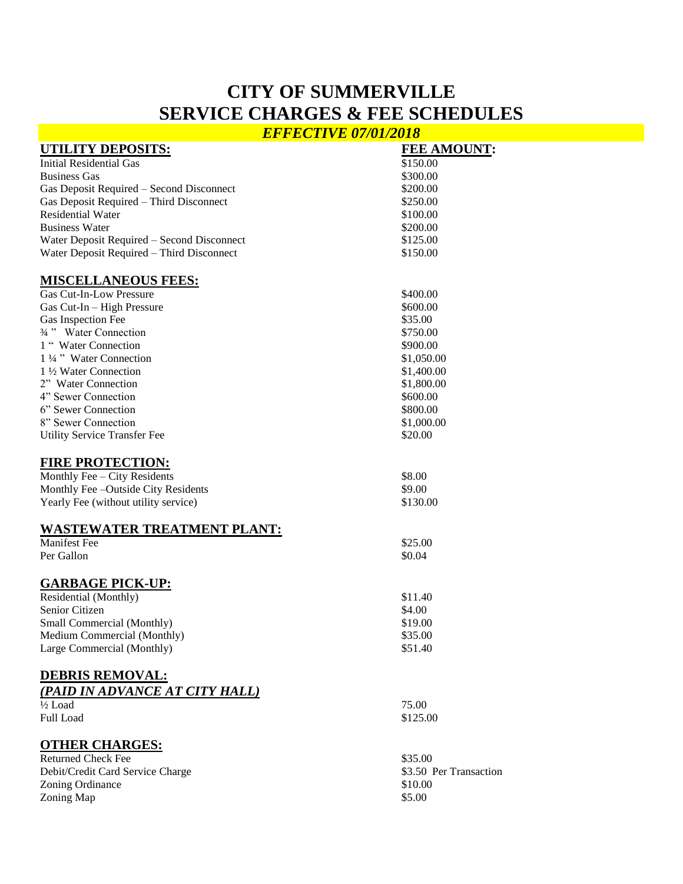# **CITY OF SUMMERVILLE SERVICE CHARGES & FEE SCHEDULES**

*EFFECTIVE 07/01/2018*

| <b>UTILITY DEPOSITS:</b>                   | <b>FEE AMOUNT:</b>     |
|--------------------------------------------|------------------------|
| <b>Initial Residential Gas</b>             | \$150.00               |
| <b>Business Gas</b>                        | \$300.00               |
| Gas Deposit Required - Second Disconnect   | \$200.00               |
| Gas Deposit Required - Third Disconnect    | \$250.00               |
| <b>Residential Water</b>                   | \$100.00               |
| <b>Business Water</b>                      | \$200.00               |
| Water Deposit Required - Second Disconnect | \$125.00               |
| Water Deposit Required - Third Disconnect  | \$150.00               |
| <b>MISCELLANEOUS FEES:</b>                 |                        |
| <b>Gas Cut-In-Low Pressure</b>             | \$400.00               |
| Gas Cut-In - High Pressure                 | \$600.00               |
| Gas Inspection Fee                         | \$35.00                |
| 3/4" Water Connection                      | \$750.00               |
| 1 "Water Connection                        | \$900.00               |
| 1 1/4 " Water Connection                   | \$1,050.00             |
| 1 ½ Water Connection                       | \$1,400.00             |
| 2" Water Connection                        | \$1,800.00             |
| 4" Sewer Connection                        | \$600.00               |
| 6" Sewer Connection                        | \$800.00               |
| 8" Sewer Connection                        | \$1,000.00             |
| <b>Utility Service Transfer Fee</b>        | \$20.00                |
|                                            |                        |
| <b>FIRE PROTECTION:</b>                    |                        |
| Monthly Fee - City Residents               | \$8.00                 |
| Monthly Fee -Outside City Residents        | \$9.00                 |
| Yearly Fee (without utility service)       | \$130.00               |
| <b>WASTEWATER TREATMENT PLANT:</b>         |                        |
| <b>Manifest Fee</b>                        | \$25.00                |
| Per Gallon                                 | \$0.04                 |
|                                            |                        |
| <b>GARBAGE PICK-UP:</b>                    |                        |
| Residential (Monthly)                      | \$11.40                |
| Senior Citizen                             | \$4.00                 |
| Small Commercial (Monthly)                 | \$19.00                |
| Medium Commercial (Monthly)                | \$35.00                |
| Large Commercial (Monthly)                 | \$51.40                |
| <b>DEBRIS REMOVAL:</b>                     |                        |
|                                            |                        |
| (PAID IN ADVANCE AT CITY HALL)             |                        |
| $\frac{1}{2}$ Load                         | 75.00                  |
| Full Load                                  | \$125.00               |
| <u><b>OTHER CHARGES:</b></u>               |                        |
| <b>Returned Check Fee</b>                  | \$35.00                |
| Debit/Credit Card Service Charge           | \$3.50 Per Transaction |
| Zoning Ordinance                           | \$10.00                |
| Zoning Map                                 | \$5.00                 |
|                                            |                        |